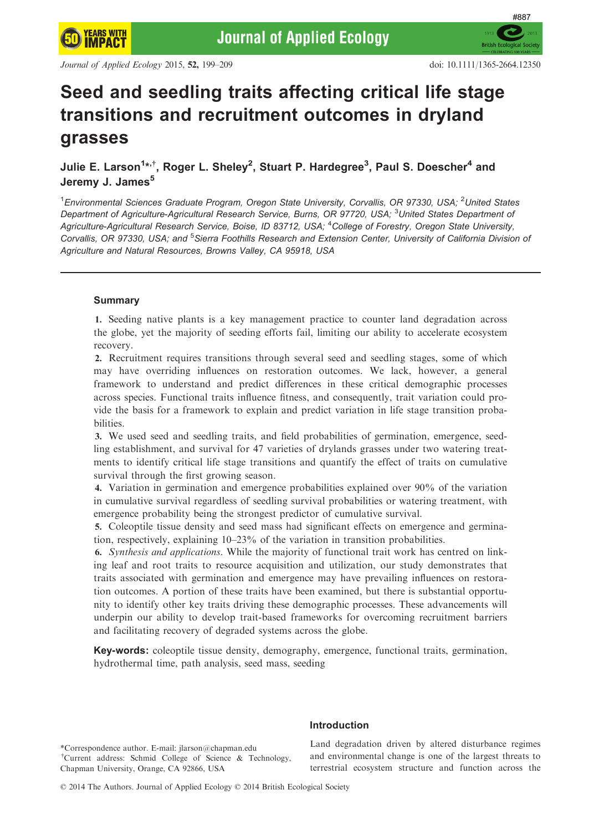**British Eq** 

#887

# Seed and seedling traits affecting critical life stage transitions and recruitment outcomes in dryland grasses

# Julie E. Larson $^{1*,+},$  Roger L. Sheley $^2$ , Stuart P. Hardegree $^3$ , Paul S. Doescher $^4$  and Jeremy J. James<sup>5</sup>

<sup>1</sup>Environmental Sciences Graduate Program, Oregon State University, Corvallis, OR 97330, USA; <sup>2</sup>United States Department of Agriculture-Agricultural Research Service, Burns, OR 97720, USA; <sup>3</sup>United States Department of Agriculture-Agricultural Research Service, Boise, ID 83712, USA; <sup>4</sup>College of Forestry, Oregon State University, Corvallis, OR 97330, USA; and <sup>5</sup>Sierra Foothills Research and Extension Center, University of California Division ot Agriculture and Natural Resources, Browns Valley, CA 95918, USA

# Summary

1. Seeding native plants is a key management practice to counter land degradation across the globe, yet the majority of seeding efforts fail, limiting our ability to accelerate ecosystem recovery.

2. Recruitment requires transitions through several seed and seedling stages, some of which may have overriding influences on restoration outcomes. We lack, however, a general framework to understand and predict differences in these critical demographic processes across species. Functional traits influence fitness, and consequently, trait variation could provide the basis for a framework to explain and predict variation in life stage transition probabilities.

3. We used seed and seedling traits, and field probabilities of germination, emergence, seedling establishment, and survival for 47 varieties of drylands grasses under two watering treatments to identify critical life stage transitions and quantify the effect of traits on cumulative survival through the first growing season.

4. Variation in germination and emergence probabilities explained over 90% of the variation in cumulative survival regardless of seedling survival probabilities or watering treatment, with emergence probability being the strongest predictor of cumulative survival.

5. Coleoptile tissue density and seed mass had significant effects on emergence and germination, respectively, explaining 10–23% of the variation in transition probabilities.

6. Synthesis and applications. While the majority of functional trait work has centred on linking leaf and root traits to resource acquisition and utilization, our study demonstrates that traits associated with germination and emergence may have prevailing influences on restoration outcomes. A portion of these traits have been examined, but there is substantial opportunity to identify other key traits driving these demographic processes. These advancements will underpin our ability to develop trait-based frameworks for overcoming recruitment barriers and facilitating recovery of degraded systems across the globe.

Key-words: coleoptile tissue density, demography, emergence, functional traits, germination, hydrothermal time, path analysis, seed mass, seeding

\*Correspondence author. E-mail: jlarson@chapman.edu † Current address: Schmid College of Science & Technology, Chapman University, Orange, CA 92866, USA

# Introduction

Land degradation driven by altered disturbance regimes and environmental change is one of the largest threats to terrestrial ecosystem structure and function across the

© 2014 The Authors. Journal of Applied Ecology © 2014 British Ecological Society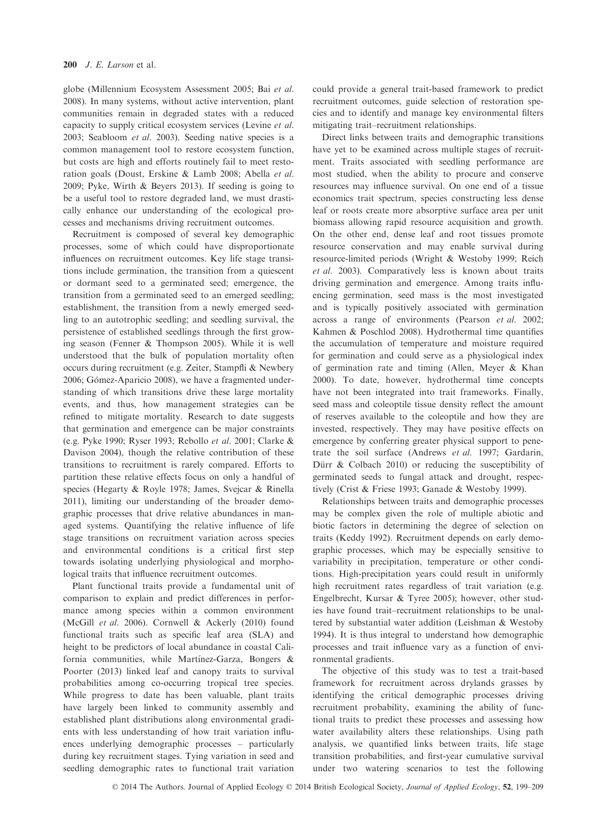globe (Millennium Ecosystem Assessment 2005; Bai et al. 2008). In many systems, without active intervention, plant communities remain in degraded states with a reduced capacity to supply critical ecosystem services (Levine et al. 2003; Seabloom et al. 2003). Seeding native species is a common management tool to restore ecosystem function, but costs are high and efforts routinely fail to meet restoration goals (Doust, Erskine & Lamb 2008; Abella et al. 2009; Pyke, Wirth & Beyers 2013). If seeding is going to be a useful tool to restore degraded land, we must drastically enhance our understanding of the ecological processes and mechanisms driving recruitment outcomes.

Recruitment is composed of several key demographic processes, some of which could have disproportionate influences on recruitment outcomes. Key life stage transitions include germination, the transition from a quiescent or dormant seed to a germinated seed; emergence, the transition from a germinated seed to an emerged seedling; establishment, the transition from a newly emerged seedling to an autotrophic seedling; and seedling survival, the persistence of established seedlings through the first growing season (Fenner & Thompson 2005). While it is well understood that the bulk of population mortality often occurs during recruitment (e.g. Zeiter, Stampfli & Newbery 2006; Gómez-Aparicio 2008), we have a fragmented understanding of which transitions drive these large mortality events, and thus, how management strategies can be refined to mitigate mortality. Research to date suggests that germination and emergence can be major constraints (e.g. Pyke 1990; Ryser 1993; Rebollo et al. 2001; Clarke & Davison 2004), though the relative contribution of these transitions to recruitment is rarely compared. Efforts to partition these relative effects focus on only a handful of species (Hegarty & Royle 1978; James, Svejcar & Rinella 2011), limiting our understanding of the broader demographic processes that drive relative abundances in managed systems. Quantifying the relative influence of life stage transitions on recruitment variation across species and environmental conditions is a critical first step towards isolating underlying physiological and morphological traits that influence recruitment outcomes.

Plant functional traits provide a fundamental unit of comparison to explain and predict differences in performance among species within a common environment (McGill et al. 2006). Cornwell & Ackerly (2010) found functional traits such as specific leaf area (SLA) and height to be predictors of local abundance in coastal California communities, while Martínez-Garza, Bongers & Poorter (2013) linked leaf and canopy traits to survival probabilities among co-occurring tropical tree species. While progress to date has been valuable, plant traits have largely been linked to community assembly and established plant distributions along environmental gradients with less understanding of how trait variation influences underlying demographic processes – particularly during key recruitment stages. Tying variation in seed and seedling demographic rates to functional trait variation

could provide a general trait-based framework to predict recruitment outcomes, guide selection of restoration species and to identify and manage key environmental filters mitigating trait–recruitment relationships.

Direct links between traits and demographic transitions have yet to be examined across multiple stages of recruitment. Traits associated with seedling performance are most studied, when the ability to procure and conserve resources may influence survival. On one end of a tissue economics trait spectrum, species constructing less dense leaf or roots create more absorptive surface area per unit biomass allowing rapid resource acquisition and growth. On the other end, dense leaf and root tissues promote resource conservation and may enable survival during resource-limited periods (Wright & Westoby 1999; Reich et al. 2003). Comparatively less is known about traits driving germination and emergence. Among traits influencing germination, seed mass is the most investigated and is typically positively associated with germination across a range of environments (Pearson et al. 2002; Kahmen & Poschlod 2008). Hydrothermal time quantifies the accumulation of temperature and moisture required for germination and could serve as a physiological index of germination rate and timing (Allen, Meyer & Khan 2000). To date, however, hydrothermal time concepts have not been integrated into trait frameworks. Finally, seed mass and coleoptile tissue density reflect the amount of reserves available to the coleoptile and how they are invested, respectively. They may have positive effects on emergence by conferring greater physical support to penetrate the soil surface (Andrews et al. 1997; Gardarin, Dürr & Colbach 2010) or reducing the susceptibility of germinated seeds to fungal attack and drought, respectively (Crist & Friese 1993; Ganade & Westoby 1999).

Relationships between traits and demographic processes may be complex given the role of multiple abiotic and biotic factors in determining the degree of selection on traits (Keddy 1992). Recruitment depends on early demographic processes, which may be especially sensitive to variability in precipitation, temperature or other conditions. High-precipitation years could result in uniformly high recruitment rates regardless of trait variation (e.g. Engelbrecht, Kursar & Tyree 2005); however, other studies have found trait–recruitment relationships to be unaltered by substantial water addition (Leishman & Westoby 1994). It is thus integral to understand how demographic processes and trait influence vary as a function of environmental gradients.

The objective of this study was to test a trait-based framework for recruitment across drylands grasses by identifying the critical demographic processes driving recruitment probability, examining the ability of functional traits to predict these processes and assessing how water availability alters these relationships. Using path analysis, we quantified links between traits, life stage transition probabilities, and first-year cumulative survival under two watering scenarios to test the following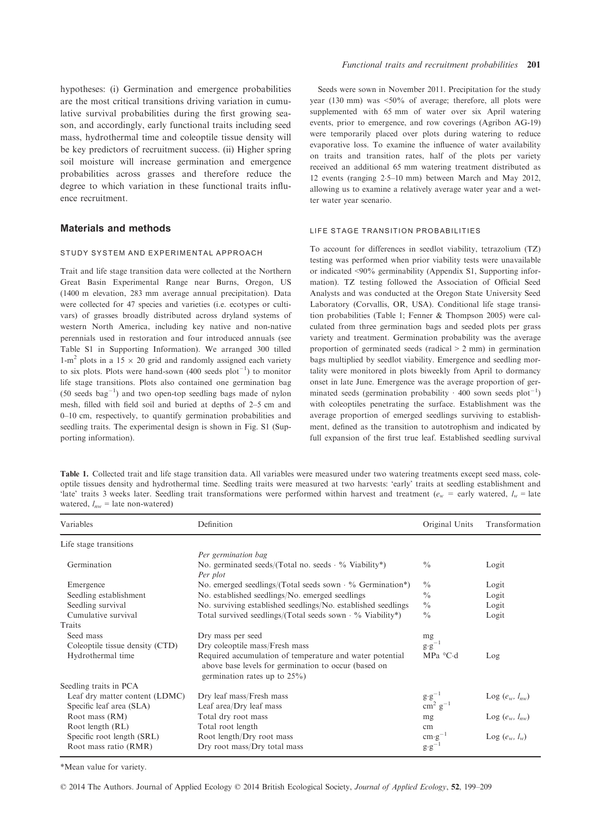hypotheses: (i) Germination and emergence probabilities are the most critical transitions driving variation in cumulative survival probabilities during the first growing season, and accordingly, early functional traits including seed mass, hydrothermal time and coleoptile tissue density will be key predictors of recruitment success. (ii) Higher spring soil moisture will increase germination and emergence probabilities across grasses and therefore reduce the degree to which variation in these functional traits influence recruitment.

# Materials and methods

### STUDY SYSTEM AND EXPERIMENTAL APPROACH

Trait and life stage transition data were collected at the Northern Great Basin Experimental Range near Burns, Oregon, US (1400 m elevation, 283 mm average annual precipitation). Data were collected for 47 species and varieties (i.e. ecotypes or cultivars) of grasses broadly distributed across dryland systems of western North America, including key native and non-native perennials used in restoration and four introduced annuals (see Table S1 in Supporting Information). We arranged 300 tilled 1-m<sup>2</sup> plots in a 15  $\times$  20 grid and randomly assigned each variety to six plots. Plots were hand-sown  $(400 \text{ seeds plot}^{-1})$  to monitor life stage transitions. Plots also contained one germination bag  $(50 \text{ seeds } bag^{-1})$  and two open-top seedling bags made of nylon mesh, filled with field soil and buried at depths of 2–5 cm and 0–10 cm, respectively, to quantify germination probabilities and seedling traits. The experimental design is shown in Fig. S1 (Supporting information).

Seeds were sown in November 2011. Precipitation for the study year (130 mm) was  $\leq 50\%$  of average; therefore, all plots were supplemented with 65 mm of water over six April watering events, prior to emergence, and row coverings (Agribon AG-19) were temporarily placed over plots during watering to reduce evaporative loss. To examine the influence of water availability on traits and transition rates, half of the plots per variety received an additional 65 mm watering treatment distributed as 12 events (ranging 25–10 mm) between March and May 2012, allowing us to examine a relatively average water year and a wetter water year scenario.

# LIFE STAGE TRANSITION PROBABILITIES

To account for differences in seedlot viability, tetrazolium (TZ) testing was performed when prior viability tests were unavailable or indicated <90% germinability (Appendix S1, Supporting information). TZ testing followed the Association of Official Seed Analysts and was conducted at the Oregon State University Seed Laboratory (Corvallis, OR, USA). Conditional life stage transition probabilities (Table 1; Fenner & Thompson 2005) were calculated from three germination bags and seeded plots per grass variety and treatment. Germination probability was the average proportion of germinated seeds (radical > 2 mm) in germination bags multiplied by seedlot viability. Emergence and seedling mortality were monitored in plots biweekly from April to dormancy onset in late June. Emergence was the average proportion of germinated seeds (germination probability  $·$  400 sown seeds plot<sup>-1</sup>) with coleoptiles penetrating the surface. Establishment was the average proportion of emerged seedlings surviving to establishment, defined as the transition to autotrophism and indicated by full expansion of the first true leaf. Established seedling survival

| <b>Table 1.</b> Collected trait and life stage transition data. All variables were measured under two watering treatments except seed mass, cole- |
|---------------------------------------------------------------------------------------------------------------------------------------------------|
| optile tissues density and hydrothermal time. Seedling traits were measured at two harvests: 'early' traits at seedling establishment and         |
| 'late' traits 3 weeks later. Seedling trait transformations were performed within harvest and treatment ( $e_w$ = early watered, $l_w$ = late     |
| watered, $l_{\mu\nu}$ = late non-watered)                                                                                                         |

| Variables                       | Definition                                                                                                                                           | Original Units    | Transformation      |
|---------------------------------|------------------------------------------------------------------------------------------------------------------------------------------------------|-------------------|---------------------|
| Life stage transitions          |                                                                                                                                                      |                   |                     |
|                                 | Per germination bag                                                                                                                                  |                   |                     |
| Germination                     | No. germinated seeds/(Total no. seeds $\cdot$ % Viability*)<br>Per plot                                                                              | $\frac{0}{0}$     | Logit               |
| Emergence                       | No. emerged seedlings/(Total seeds sown $\cdot$ % Germination*)                                                                                      | $\frac{0}{0}$     | Logit               |
| Seedling establishment          | No. established seedlings/No. emerged seedlings                                                                                                      | $\frac{0}{0}$     | Logit               |
| Seedling survival               | No. surviving established seedlings/No. established seedlings                                                                                        | $\frac{0}{0}$     | Logit               |
| Cumulative survival             | Total survived seedlings/(Total seeds sown $\cdot$ % Viability*)                                                                                     | $\frac{0}{0}$     | Logit               |
| Traits                          |                                                                                                                                                      |                   |                     |
| Seed mass                       | Dry mass per seed                                                                                                                                    | mg                |                     |
| Coleoptile tissue density (CTD) | Dry coleoptile mass/Fresh mass                                                                                                                       | $g \cdot g^{-1}$  |                     |
| Hydrothermal time               | Required accumulation of temperature and water potential<br>above base levels for germination to occur (based on<br>germination rates up to $25\%$ ) | MPa °Cd           | Log                 |
| Seedling traits in PCA          |                                                                                                                                                      |                   |                     |
| Leaf dry matter content (LDMC)  | Dry leaf mass/Fresh mass                                                                                                                             | $g \cdot g^{-1}$  | Log $(e_w, l_{nw})$ |
| Specific leaf area (SLA)        | Leaf area/Dry leaf mass                                                                                                                              | $\rm cm^2~g^{-1}$ |                     |
| Root mass (RM)                  | Total dry root mass                                                                                                                                  | mg                | Log $(e_w, l_{nw})$ |
| Root length (RL)                | Total root length                                                                                                                                    | cm                |                     |
| Specific root length (SRL)      | Root length/Dry root mass                                                                                                                            | $cm \cdot g^{-1}$ | Log $(e_w, l_w)$    |
| Root mass ratio (RMR)           | Dry root mass/Dry total mass                                                                                                                         | $g \cdot g^{-1}$  |                     |

\*Mean value for variety.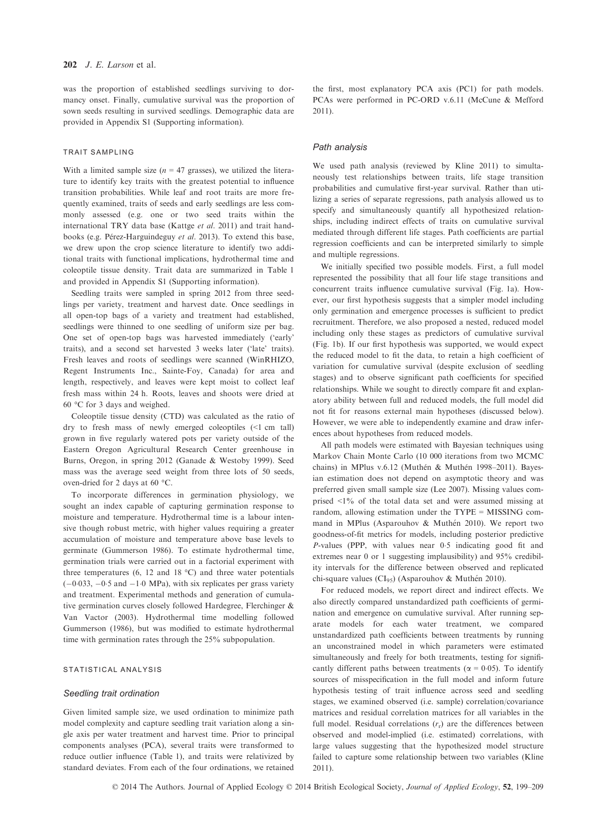was the proportion of established seedlings surviving to dormancy onset. Finally, cumulative survival was the proportion of sown seeds resulting in survived seedlings. Demographic data are provided in Appendix S1 (Supporting information).

#### TRAIT SAMPLING

With a limited sample size  $(n = 47 \text{ grasses})$ , we utilized the literature to identify key traits with the greatest potential to influence transition probabilities. While leaf and root traits are more frequently examined, traits of seeds and early seedlings are less commonly assessed (e.g. one or two seed traits within the international TRY data base (Kattge et al. 2011) and trait handbooks (e.g. Pérez-Harguindeguy et al. 2013). To extend this base, we drew upon the crop science literature to identify two additional traits with functional implications, hydrothermal time and coleoptile tissue density. Trait data are summarized in Table 1 and provided in Appendix S1 (Supporting information).

Seedling traits were sampled in spring 2012 from three seedlings per variety, treatment and harvest date. Once seedlings in all open-top bags of a variety and treatment had established, seedlings were thinned to one seedling of uniform size per bag. One set of open-top bags was harvested immediately ('early' traits), and a second set harvested 3 weeks later ('late' traits). Fresh leaves and roots of seedlings were scanned (WinRHIZO, Regent Instruments Inc., Sainte-Foy, Canada) for area and length, respectively, and leaves were kept moist to collect leaf fresh mass within 24 h. Roots, leaves and shoots were dried at 60 °C for 3 days and weighed.

Coleoptile tissue density (CTD) was calculated as the ratio of dry to fresh mass of newly emerged coleoptiles (<1 cm tall) grown in five regularly watered pots per variety outside of the Eastern Oregon Agricultural Research Center greenhouse in Burns, Oregon, in spring 2012 (Ganade & Westoby 1999). Seed mass was the average seed weight from three lots of 50 seeds, oven-dried for 2 days at 60 °C.

To incorporate differences in germination physiology, we sought an index capable of capturing germination response to moisture and temperature. Hydrothermal time is a labour intensive though robust metric, with higher values requiring a greater accumulation of moisture and temperature above base levels to germinate (Gummerson 1986). To estimate hydrothermal time, germination trials were carried out in a factorial experiment with three temperatures (6, 12 and 18  $^{\circ}$ C) and three water potentials  $(-0.033, -0.5$  and  $-1.0$  MPa), with six replicates per grass variety and treatment. Experimental methods and generation of cumulative germination curves closely followed Hardegree, Flerchinger & Van Vactor (2003). Hydrothermal time modelling followed Gummerson (1986), but was modified to estimate hydrothermal time with germination rates through the 25% subpopulation.

#### STATISTICAL ANALYSIS

#### Seedling trait ordination

Given limited sample size, we used ordination to minimize path model complexity and capture seedling trait variation along a single axis per water treatment and harvest time. Prior to principal components analyses (PCA), several traits were transformed to reduce outlier influence (Table 1), and traits were relativized by standard deviates. From each of the four ordinations, we retained the first, most explanatory PCA axis (PC1) for path models. PCAs were performed in PC-ORD v.6.11 (McCune & Mefford 2011).

#### Path analysis

We used path analysis (reviewed by Kline 2011) to simultaneously test relationships between traits, life stage transition probabilities and cumulative first-year survival. Rather than utilizing a series of separate regressions, path analysis allowed us to specify and simultaneously quantify all hypothesized relationships, including indirect effects of traits on cumulative survival mediated through different life stages. Path coefficients are partial regression coefficients and can be interpreted similarly to simple and multiple regressions.

We initially specified two possible models. First, a full model represented the possibility that all four life stage transitions and concurrent traits influence cumulative survival (Fig. 1a). However, our first hypothesis suggests that a simpler model including only germination and emergence processes is sufficient to predict recruitment. Therefore, we also proposed a nested, reduced model including only these stages as predictors of cumulative survival (Fig. 1b). If our first hypothesis was supported, we would expect the reduced model to fit the data, to retain a high coefficient of variation for cumulative survival (despite exclusion of seedling stages) and to observe significant path coefficients for specified relationships. While we sought to directly compare fit and explanatory ability between full and reduced models, the full model did not fit for reasons external main hypotheses (discussed below). However, we were able to independently examine and draw inferences about hypotheses from reduced models.

All path models were estimated with Bayesian techniques using Markov Chain Monte Carlo (10 000 iterations from two MCMC chains) in MPlus v.6.12 (Muthén & Muthén 1998-2011). Bayesian estimation does not depend on asymptotic theory and was preferred given small sample size (Lee 2007). Missing values comprised <1% of the total data set and were assumed missing at random, allowing estimation under the TYPE = MISSING command in MPlus (Asparouhov & Muthén 2010). We report two goodness-of-fit metrics for models, including posterior predictive P-values (PPP, with values near 0.5 indicating good fit and extremes near 0 or 1 suggesting implausibility) and 95% credibility intervals for the difference between observed and replicated chi-square values ( $CI_{95}$ ) (Asparouhov & Muthén 2010).

For reduced models, we report direct and indirect effects. We also directly compared unstandardized path coefficients of germination and emergence on cumulative survival. After running separate models for each water treatment, we compared unstandardized path coefficients between treatments by running an unconstrained model in which parameters were estimated simultaneously and freely for both treatments, testing for significantly different paths between treatments ( $\alpha = 0.05$ ). To identify sources of misspecification in the full model and inform future hypothesis testing of trait influence across seed and seedling stages, we examined observed (i.e. sample) correlation/covariance matrices and residual correlation matrices for all variables in the full model. Residual correlations  $(r_r)$  are the differences between observed and model-implied (i.e. estimated) correlations, with large values suggesting that the hypothesized model structure failed to capture some relationship between two variables (Kline 2011).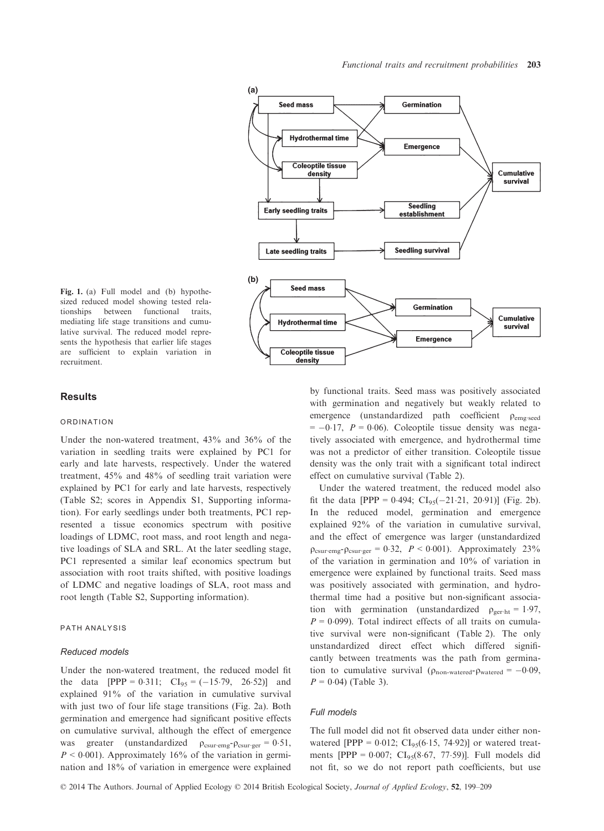

Fig. 1. (a) Full model and (b) hypothesized reduced model showing tested relationships between functional traits, mediating life stage transitions and cumulative survival. The reduced model represents the hypothesis that earlier life stages are sufficient to explain variation in recruitment.

### **Results**

#### ORDINATION

Under the non-watered treatment, 43% and 36% of the variation in seedling traits were explained by PC1 for early and late harvests, respectively. Under the watered treatment, 45% and 48% of seedling trait variation were explained by PC1 for early and late harvests, respectively (Table S2; scores in Appendix S1, Supporting information). For early seedlings under both treatments, PC1 represented a tissue economics spectrum with positive loadings of LDMC, root mass, and root length and negative loadings of SLA and SRL. At the later seedling stage, PC1 represented a similar leaf economics spectrum but association with root traits shifted, with positive loadings of LDMC and negative loadings of SLA, root mass and root length (Table S2, Supporting information).

# PATH ANALYSIS

#### Reduced models

Under the non-watered treatment, the reduced model fit the data  $[PPP = 0.311; CI<sub>95</sub> = (-15.79, 26.52)]$  and explained 91% of the variation in cumulative survival with just two of four life stage transitions (Fig. 2a). Both germination and emergence had significant positive effects on cumulative survival, although the effect of emergence was greater (unstandardized  $\rho_{\text{csur-emg}}$ - $\rho_{\text{csur-ger}} = 0.51$ ,  $P < 0.001$ ). Approximately 16% of the variation in germination and 18% of variation in emergence were explained

by functional traits. Seed mass was positively associated with germination and negatively but weakly related to emergence (unstandardized path coefficient p<sub>emg∙seed</sub>  $= -0.17$ ,  $P = 0.06$ ). Coleoptile tissue density was negatively associated with emergence, and hydrothermal time was not a predictor of either transition. Coleoptile tissue density was the only trait with a significant total indirect effect on cumulative survival (Table 2).

Under the watered treatment, the reduced model also fit the data [PPP =  $0.494$ ;  $CI_{95}(-21.21, 20.91)$ ] (Fig. 2b). In the reduced model, germination and emergence explained 92% of the variation in cumulative survival, and the effect of emergence was larger (unstandardized  $\rho_{\text{csur-eng}}$ - $\rho_{\text{csur-ger}}$  = 0.32,  $P < 0.001$ ). Approximately 23% of the variation in germination and 10% of variation in emergence were explained by functional traits. Seed mass was positively associated with germination, and hydrothermal time had a positive but non-significant association with germination (unstandardized  $\rho_{\text{ger-ht}} = 1.97$ ,  $P = 0.099$ ). Total indirect effects of all traits on cumulative survival were non-significant (Table 2). The only unstandardized direct effect which differed significantly between treatments was the path from germination to cumulative survival ( $\rho_{\text{non-watered}} - \rho_{\text{watered}} = -0.09$ ,  $P = 0.04$ ) (Table 3).

#### Full models

The full model did not fit observed data under either nonwatered [PPP =  $0.012$ ; CI<sub>95</sub>(6.15, 74.92)] or watered treatments [PPP =  $0.007$ ; CI<sub>95</sub>(8.67, 77.59)]. Full models did not fit, so we do not report path coefficients, but use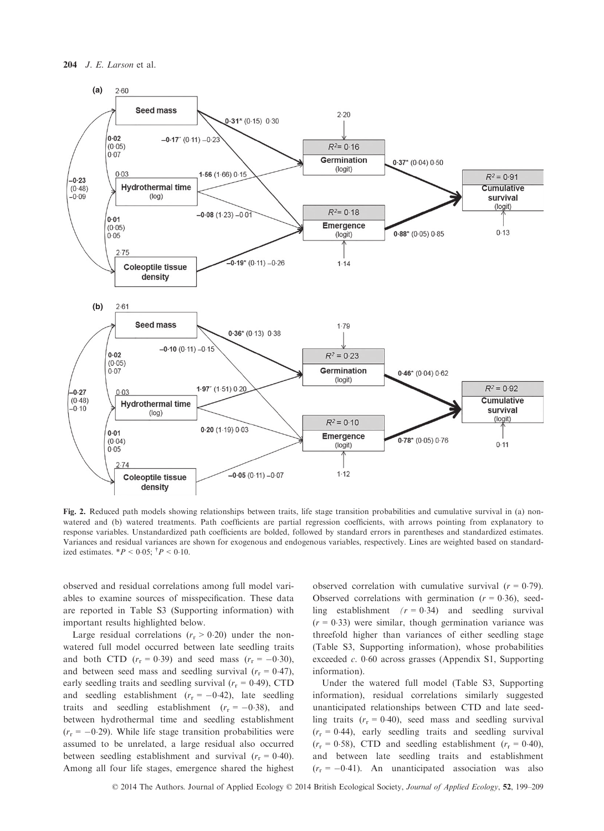

Fig. 2. Reduced path models showing relationships between traits, life stage transition probabilities and cumulative survival in (a) nonwatered and (b) watered treatments. Path coefficients are partial regression coefficients, with arrows pointing from explanatory to response variables. Unstandardized path coefficients are bolded, followed by standard errors in parentheses and standardized estimates. Variances and residual variances are shown for exogenous and endogenous variables, respectively. Lines are weighted based on standardized estimates.  $*P < 0.05$ ;  $^{\dagger}P < 0.10$ .

observed and residual correlations among full model variables to examine sources of misspecification. These data are reported in Table S3 (Supporting information) with important results highlighted below.

Large residual correlations ( $r_r > 0.20$ ) under the nonwatered full model occurred between late seedling traits and both CTD  $(r_r = 0.39)$  and seed mass  $(r_r = -0.30)$ , and between seed mass and seedling survival  $(r_r = 0.47)$ , early seedling traits and seedling survival ( $r_r = 0.49$ ), CTD and seedling establishment  $(r_r = -0.42)$ , late seedling traits and seedling establishment  $(r_r = -0.38)$ , and between hydrothermal time and seedling establishment  $(r_r = -0.29)$ . While life stage transition probabilities were assumed to be unrelated, a large residual also occurred between seedling establishment and survival  $(r_r = 0.40)$ . Among all four life stages, emergence shared the highest observed correlation with cumulative survival  $(r = 0.79)$ . Observed correlations with germination  $(r = 0.36)$ , seedling establishment  $(r = 0.34)$  and seedling survival  $(r = 0.33)$  were similar, though germination variance was threefold higher than variances of either seedling stage (Table S3, Supporting information), whose probabilities exceeded  $c$ . 0.60 across grasses (Appendix S1, Supporting information).

Under the watered full model (Table S3, Supporting information), residual correlations similarly suggested unanticipated relationships between CTD and late seedling traits  $(r_r = 0.40)$ , seed mass and seedling survival  $(r_r = 0.44)$ , early seedling traits and seedling survival  $(r_r = 0.58)$ , CTD and seedling establishment  $(r_r = 0.40)$ , and between late seedling traits and establishment  $(r_r = -0.41)$ . An unanticipated association was also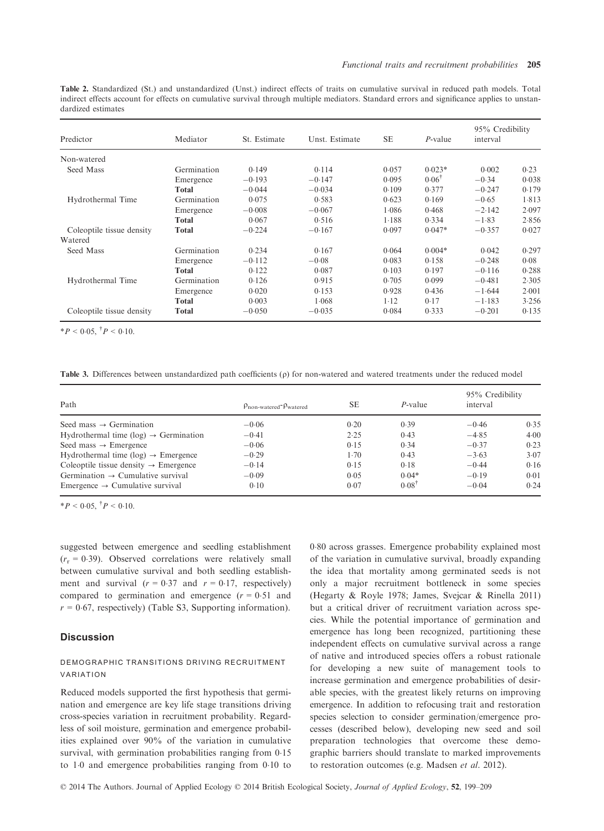Table 2. Standardized (St.) and unstandardized (Unst.) indirect effects of traits on cumulative survival in reduced path models. Total indirect effects account for effects on cumulative survival through multiple mediators. Standard errors and significance applies to unstandardized estimates

| Predictor                 | Mediator    | St. Estimate | Unst. Estimate | <b>SE</b> | $P$ -value       | 95% Credibility<br>interval |       |
|---------------------------|-------------|--------------|----------------|-----------|------------------|-----------------------------|-------|
| Non-watered               |             |              |                |           |                  |                             |       |
| Seed Mass                 | Germination | 0.149        | 0.114          | 0.057     | $0.023*$         | 0.002                       | 0.23  |
|                           | Emergence   | $-0.193$     | $-0.147$       | 0.095     | $0.06^{\dagger}$ | $-0.34$                     | 0.038 |
|                           | Total       | $-0.044$     | $-0.034$       | 0.109     | 0.377            | $-0.247$                    | 0.179 |
| Hydrothermal Time         | Germination | 0.075        | 0.583          | 0.623     | 0.169            | $-0.65$                     | 1.813 |
|                           | Emergence   | $-0.008$     | $-0.067$       | 1.086     | 0.468            | $-2.142$                    | 2.097 |
|                           | Total       | 0.067        | 0.516          | 1.188     | 0.334            | $-1.83$                     | 2.856 |
| Coleoptile tissue density | Total       | $-0.224$     | $-0.167$       | 0.097     | $0.047*$         | $-0.357$                    | 0.027 |
| Watered                   |             |              |                |           |                  |                             |       |
| Seed Mass                 | Germination | 0.234        | 0.167          | 0.064     | $0.004*$         | 0.042                       | 0.297 |
|                           | Emergence   | $-0.112$     | $-0.08$        | 0.083     | 0.158            | $-0.248$                    | 0.08  |
|                           | Total       | 0.122        | 0.087          | 0.103     | 0.197            | $-0.116$                    | 0.288 |
| Hydrothermal Time         | Germination | 0.126        | 0.915          | 0.705     | 0.099            | $-0.481$                    | 2.305 |
|                           | Emergence   | 0.020        | 0.153          | 0.928     | 0.436            | $-1.644$                    | 2.001 |
|                           | Total       | 0.003        | 1.068          | $1-12$    | 0.17             | $-1.183$                    | 3.256 |
| Coleoptile tissue density | Total       | $-0.050$     | $-0.035$       | 0.084     | 0.333            | $-0.201$                    | 0.135 |

\* $P < 0.05, \, {}^{\dagger}P < 0.10.$ 

Table 3. Differences between unstandardized path coefficients ( $\rho$ ) for non-watered and watered treatments under the reduced model

| Path                                              | $\rho_{\text{non-watered}}$ - $\rho_{\text{watered}}$ | <b>SE</b> | P-value          | 95% Credibility<br>interval |      |
|---------------------------------------------------|-------------------------------------------------------|-----------|------------------|-----------------------------|------|
|                                                   |                                                       |           |                  |                             |      |
| Seed mass $\rightarrow$ Germination               | $-0.06$                                               | 0.20      | 0.39             | $-0.46$                     | 0.35 |
| Hydrothermal time (log) $\rightarrow$ Germination | $-0.41$                                               | 2.25      | 0.43             | $-4.85$                     | 4.00 |
| Seed mass $\rightarrow$ Emergence                 | $-0.06$                                               | 0.15      | 0.34             | $-0.37$                     | 0.23 |
| Hydrothermal time (log) $\rightarrow$ Emergence   | $-0.29$                                               | 1.70      | 0.43             | $-3.63$                     | 3.07 |
| Coleoptile tissue density $\rightarrow$ Emergence | $-0.14$                                               | 0.15      | 0.18             | $-0.44$                     | 0.16 |
| Germination $\rightarrow$ Cumulative survival     | $-0.09$                                               | 0.05      | $0.04*$          | $-0.19$                     | 0.01 |
| Emergence $\rightarrow$ Cumulative survival       | 0.10                                                  | 0.07      | $0.08^{\dagger}$ | $-0.04$                     | 0.24 |

\* $P < 0.05, \, {}^{\dagger}P < 0.10.$ 

suggested between emergence and seedling establishment  $(r_r = 0.39)$ . Observed correlations were relatively small between cumulative survival and both seedling establishment and survival  $(r = 0.37$  and  $r = 0.17$ , respectively) compared to germination and emergence  $(r = 0.51$  and  $r = 0.67$ , respectively) (Table S3, Supporting information).

# **Discussion**

# DEMOGRAPHIC TRANSITIONS DRIVING RECRUITMENT VARIATION

Reduced models supported the first hypothesis that germination and emergence are key life stage transitions driving cross-species variation in recruitment probability. Regardless of soil moisture, germination and emergence probabilities explained over 90% of the variation in cumulative survival, with germination probabilities ranging from 0.15 to  $1.0$  and emergence probabilities ranging from  $0.10$  to 080 across grasses. Emergence probability explained most of the variation in cumulative survival, broadly expanding the idea that mortality among germinated seeds is not only a major recruitment bottleneck in some species (Hegarty & Royle 1978; James, Svejcar & Rinella 2011) but a critical driver of recruitment variation across species. While the potential importance of germination and emergence has long been recognized, partitioning these independent effects on cumulative survival across a range of native and introduced species offers a robust rationale for developing a new suite of management tools to increase germination and emergence probabilities of desirable species, with the greatest likely returns on improving emergence. In addition to refocusing trait and restoration species selection to consider germination/emergence processes (described below), developing new seed and soil preparation technologies that overcome these demographic barriers should translate to marked improvements to restoration outcomes (e.g. Madsen et al. 2012).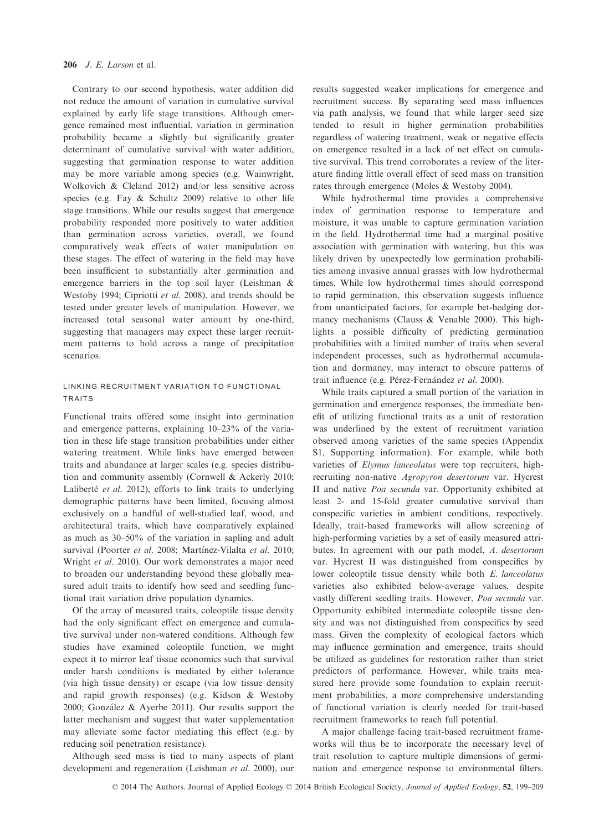Contrary to our second hypothesis, water addition did not reduce the amount of variation in cumulative survival explained by early life stage transitions. Although emergence remained most influential, variation in germination probability became a slightly but significantly greater determinant of cumulative survival with water addition, suggesting that germination response to water addition may be more variable among species (e.g. Wainwright, Wolkovich & Cleland 2012) and/or less sensitive across species (e.g. Fay & Schultz 2009) relative to other life stage transitions. While our results suggest that emergence probability responded more positively to water addition than germination across varieties, overall, we found comparatively weak effects of water manipulation on these stages. The effect of watering in the field may have been insufficient to substantially alter germination and emergence barriers in the top soil layer (Leishman & Westoby 1994; Cipriotti et al. 2008), and trends should be tested under greater levels of manipulation. However, we increased total seasonal water amount by one-third, suggesting that managers may expect these larger recruitment patterns to hold across a range of precipitation scenarios.

# LINKING RECRUITMENT VARIATION TO FUNCTIONAL TRAITS

Functional traits offered some insight into germination and emergence patterns, explaining 10–23% of the variation in these life stage transition probabilities under either watering treatment. While links have emerged between traits and abundance at larger scales (e.g. species distribution and community assembly (Cornwell & Ackerly 2010; Laliberté et al. 2012), efforts to link traits to underlying demographic patterns have been limited, focusing almost exclusively on a handful of well-studied leaf, wood, and architectural traits, which have comparatively explained as much as 30–50% of the variation in sapling and adult survival (Poorter et al. 2008; Martínez-Vilalta et al. 2010; Wright et al. 2010). Our work demonstrates a major need to broaden our understanding beyond these globally measured adult traits to identify how seed and seedling functional trait variation drive population dynamics.

Of the array of measured traits, coleoptile tissue density had the only significant effect on emergence and cumulative survival under non-watered conditions. Although few studies have examined coleoptile function, we might expect it to mirror leaf tissue economics such that survival under harsh conditions is mediated by either tolerance (via high tissue density) or escape (via low tissue density and rapid growth responses) (e.g. Kidson & Westoby 2000; Gonzalez & Ayerbe 2011). Our results support the latter mechanism and suggest that water supplementation may alleviate some factor mediating this effect (e.g. by reducing soil penetration resistance).

Although seed mass is tied to many aspects of plant development and regeneration (Leishman et al. 2000), our results suggested weaker implications for emergence and recruitment success. By separating seed mass influences via path analysis, we found that while larger seed size tended to result in higher germination probabilities regardless of watering treatment, weak or negative effects on emergence resulted in a lack of net effect on cumulative survival. This trend corroborates a review of the literature finding little overall effect of seed mass on transition rates through emergence (Moles & Westoby 2004).

While hydrothermal time provides a comprehensive index of germination response to temperature and moisture, it was unable to capture germination variation in the field. Hydrothermal time had a marginal positive association with germination with watering, but this was likely driven by unexpectedly low germination probabilities among invasive annual grasses with low hydrothermal times. While low hydrothermal times should correspond to rapid germination, this observation suggests influence from unanticipated factors, for example bet-hedging dormancy mechanisms (Clauss & Venable 2000). This highlights a possible difficulty of predicting germination probabilities with a limited number of traits when several independent processes, such as hydrothermal accumulation and dormancy, may interact to obscure patterns of trait influence (e.g. Pérez-Fernández et al. 2000).

While traits captured a small portion of the variation in germination and emergence responses, the immediate benefit of utilizing functional traits as a unit of restoration was underlined by the extent of recruitment variation observed among varieties of the same species (Appendix S1, Supporting information). For example, while both varieties of Elymus lanceolatus were top recruiters, highrecruiting non-native Agropyron desertorum var. Hycrest II and native Poa secunda var. Opportunity exhibited at least 2- and 15-fold greater cumulative survival than conspecific varieties in ambient conditions, respectively. Ideally, trait-based frameworks will allow screening of high-performing varieties by a set of easily measured attributes. In agreement with our path model, A. desertorum var. Hycrest II was distinguished from conspecifics by lower coleoptile tissue density while both E. lanceolatus varieties also exhibited below-average values, despite vastly different seedling traits. However, Poa secunda var. Opportunity exhibited intermediate coleoptile tissue density and was not distinguished from conspecifics by seed mass. Given the complexity of ecological factors which may influence germination and emergence, traits should be utilized as guidelines for restoration rather than strict predictors of performance. However, while traits measured here provide some foundation to explain recruitment probabilities, a more comprehensive understanding of functional variation is clearly needed for trait-based recruitment frameworks to reach full potential.

A major challenge facing trait-based recruitment frameworks will thus be to incorporate the necessary level of trait resolution to capture multiple dimensions of germination and emergence response to environmental filters.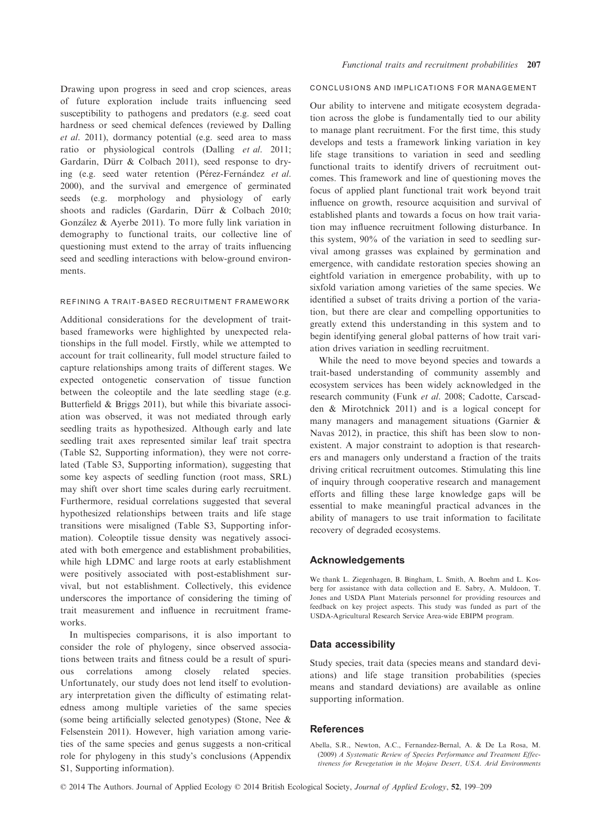Drawing upon progress in seed and crop sciences, areas of future exploration include traits influencing seed susceptibility to pathogens and predators (e.g. seed coat hardness or seed chemical defences (reviewed by Dalling et al. 2011), dormancy potential (e.g. seed area to mass ratio or physiological controls (Dalling et al. 2011; Gardarin, Dürr & Colbach 2011), seed response to drying (e.g. seed water retention (Pérez-Fernández et al. 2000), and the survival and emergence of germinated seeds (e.g. morphology and physiology of early shoots and radicles (Gardarin, Dürr & Colbach 2010; Gonzalez & Ayerbe 2011). To more fully link variation in demography to functional traits, our collective line of questioning must extend to the array of traits influencing seed and seedling interactions with below-ground environments.

## REFINING A TRAIT-BASED RECRUITMENT FRAMEWORK

Additional considerations for the development of traitbased frameworks were highlighted by unexpected relationships in the full model. Firstly, while we attempted to account for trait collinearity, full model structure failed to capture relationships among traits of different stages. We expected ontogenetic conservation of tissue function between the coleoptile and the late seedling stage (e.g. Butterfield & Briggs 2011), but while this bivariate association was observed, it was not mediated through early seedling traits as hypothesized. Although early and late seedling trait axes represented similar leaf trait spectra (Table S2, Supporting information), they were not correlated (Table S3, Supporting information), suggesting that some key aspects of seedling function (root mass, SRL) may shift over short time scales during early recruitment. Furthermore, residual correlations suggested that several hypothesized relationships between traits and life stage transitions were misaligned (Table S3, Supporting information). Coleoptile tissue density was negatively associated with both emergence and establishment probabilities, while high LDMC and large roots at early establishment were positively associated with post-establishment survival, but not establishment. Collectively, this evidence underscores the importance of considering the timing of trait measurement and influence in recruitment frameworks.

In multispecies comparisons, it is also important to consider the role of phylogeny, since observed associations between traits and fitness could be a result of spurious correlations among closely related species. Unfortunately, our study does not lend itself to evolutionary interpretation given the difficulty of estimating relatedness among multiple varieties of the same species (some being artificially selected genotypes) (Stone, Nee & Felsenstein 2011). However, high variation among varieties of the same species and genus suggests a non-critical role for phylogeny in this study's conclusions (Appendix S1, Supporting information).

# CONCLUSIONS AND IMPLICATIONS FOR MANAGEMENT

Our ability to intervene and mitigate ecosystem degradation across the globe is fundamentally tied to our ability to manage plant recruitment. For the first time, this study develops and tests a framework linking variation in key life stage transitions to variation in seed and seedling functional traits to identify drivers of recruitment outcomes. This framework and line of questioning moves the focus of applied plant functional trait work beyond trait influence on growth, resource acquisition and survival of established plants and towards a focus on how trait variation may influence recruitment following disturbance. In this system, 90% of the variation in seed to seedling survival among grasses was explained by germination and emergence, with candidate restoration species showing an eightfold variation in emergence probability, with up to sixfold variation among varieties of the same species. We identified a subset of traits driving a portion of the variation, but there are clear and compelling opportunities to greatly extend this understanding in this system and to begin identifying general global patterns of how trait variation drives variation in seedling recruitment.

While the need to move beyond species and towards a trait-based understanding of community assembly and ecosystem services has been widely acknowledged in the research community (Funk et al. 2008; Cadotte, Carscadden & Mirotchnick 2011) and is a logical concept for many managers and management situations (Garnier & Navas 2012), in practice, this shift has been slow to nonexistent. A major constraint to adoption is that researchers and managers only understand a fraction of the traits driving critical recruitment outcomes. Stimulating this line of inquiry through cooperative research and management efforts and filling these large knowledge gaps will be essential to make meaningful practical advances in the ability of managers to use trait information to facilitate recovery of degraded ecosystems.

#### Acknowledgements

We thank L. Ziegenhagen, B. Bingham, L. Smith, A. Boehm and L. Kosberg for assistance with data collection and E. Sabry, A. Muldoon, T. Jones and USDA Plant Materials personnel for providing resources and feedback on key project aspects. This study was funded as part of the USDA-Agricultural Research Service Area-wide EBIPM program.

# Data accessibility

Study species, trait data (species means and standard deviations) and life stage transition probabilities (species means and standard deviations) are available as online supporting information.

# References

Abella, S.R., Newton, A.C., Fernandez-Bernal, A. & De La Rosa, M. (2009) A Systematic Review of Species Performance and Treatment Effectiveness for Revegetation in the Mojave Desert, USA. Arid Environments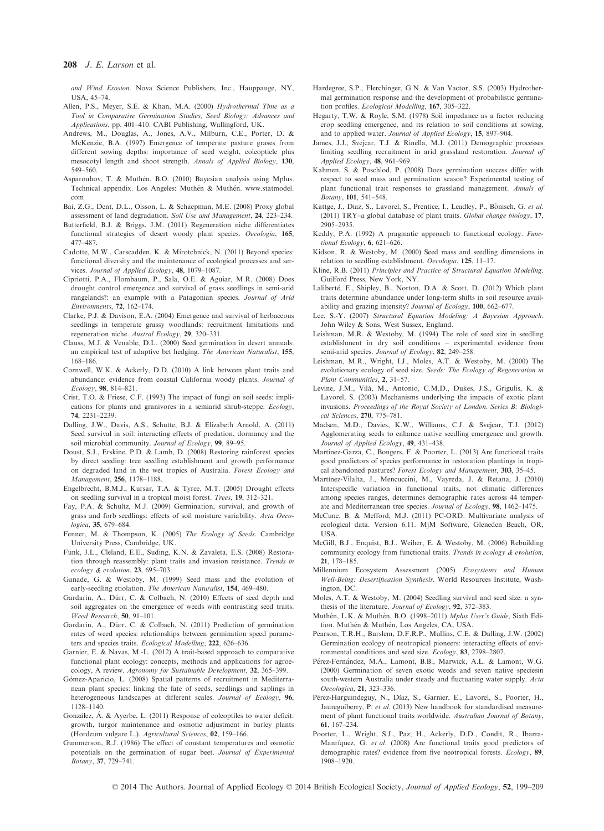and Wind Erosion. Nova Science Publishers, Inc., Hauppauge, NY, USA, 45–74.

- Allen, P.S., Meyer, S.E. & Khan, M.A. (2000) Hydrothermal Time as a Tool in Comparative Germination Studies, Seed Biology: Advances and Applications, pp. 401–410. CABI Publishing, Wallingford, UK.
- Andrews, M., Douglas, A., Jones, A.V., Milburn, C.E., Porter, D. & McKenzie, B.A. (1997) Emergence of temperate pasture grases from different sowing depths: importance of seed weight, coleoptiele plus mesocotyl length and shoot strength. Annals of Applied Biology, 130, 549–560.
- Asparouhov, T. & Muthen, B.O. (2010) Bayesian analysis using Mplus. Technical appendix. Los Angeles: Muthén & Muthén. www.statmodel. com
- Bai, Z.G., Dent, D.L., Olsson, L. & Schaepman, M.E. (2008) Proxy global assessment of land degradation. Soil Use and Management, 24, 223–234.
- Butterfield, B.J. & Briggs, J.M. (2011) Regeneration niche differentiates functional strategies of desert woody plant species. Oecologia, 165, 477–487.
- Cadotte, M.W., Carscadden, K. & Mirotchnick, N. (2011) Beyond species: functional diversity and the maintenance of ecological processes and services. Journal of Applied Ecology, 48, 1079–1087.
- Cipriotti, P.A., Flombaum, P., Sala, O.E. & Aguiar, M.R. (2008) Does drought control emergence and survival of grass seedlings in semi-arid rangelands?: an example with a Patagonian species. Journal of Arid Environments, 72, 162–174.
- Clarke, P.J. & Davison, E.A. (2004) Emergence and survival of herbaceous seedlings in temperate grassy woodlands: recruitment limitations and regeneration niche. Austral Ecology, 29, 320–331.
- Clauss, M.J. & Venable, D.L. (2000) Seed germination in desert annuals: an empirical test of adaptive bet hedging. The American Naturalist, 155, 168–186.
- Cornwell, W.K. & Ackerly, D.D. (2010) A link between plant traits and abundance: evidence from coastal California woody plants. Journal of Ecology, 98, 814–821.
- Crist, T.O. & Friese, C.F. (1993) The impact of fungi on soil seeds: implications for plants and granivores in a semiarid shrub-steppe. Ecology, 74, 2231–2239.
- Dalling, J.W., Davis, A.S., Schutte, B.J. & Elizabeth Arnold, A. (2011) Seed survival in soil: interacting effects of predation, dormancy and the soil microbial community. Journal of Ecology, 99, 89-95.
- Doust, S.J., Erskine, P.D. & Lamb, D. (2008) Restoring rainforest species by direct seeding: tree seedling establishment and growth performance on degraded land in the wet tropics of Australia. Forest Ecology and Management, 256, 1178–1188.
- Engelbrecht, B.M.J., Kursar, T.A. & Tyree, M.T. (2005) Drought effects on seedling survival in a tropical moist forest. Trees, 19, 312–321.
- Fay, P.A. & Schultz, M.J. (2009) Germination, survival, and growth of grass and forb seedlings: effects of soil moisture variability. Acta Oecologica, 35, 679–684.
- Fenner, M. & Thompson, K. (2005) The Ecology of Seeds. Cambridge University Press, Cambridge, UK.
- Funk, J.L., Cleland, E.E., Suding, K.N. & Zavaleta, E.S. (2008) Restoration through reassembly: plant traits and invasion resistance. Trends in ecology & evolution, 23, 695–703.
- Ganade, G. & Westoby, M. (1999) Seed mass and the evolution of early-seedling etiolation. The American Naturalist, 154, 469–480.
- Gardarin, A., Dürr, C. & Colbach, N. (2010) Effects of seed depth and soil aggregates on the emergence of weeds with contrasting seed traits. Weed Research, 50, 91–101.
- Gardarin, A., Dürr, C. & Colbach, N. (2011) Prediction of germination rates of weed species: relationships between germination speed parameters and species traits. Ecological Modelling, 222, 626–636.
- Garnier, E. & Navas, M.-L. (2012) A trait-based approach to comparative functional plant ecology: concepts, methods and applications for agroecology, A review. Agronomy for Sustainable Development, 32, 365–399.
- Gomez-Aparicio, L. (2008) Spatial patterns of recruitment in Mediterra nean plant species: linking the fate of seeds, seedlings and saplings in heterogeneous landscapes at different scales. Journal of Ecology, 96, 1128–1140.
- Gonzalez, A. & Ayerbe, L. (2011) Response of coleoptiles to water deficit: growth, turgor maintenance and osmotic adjustment in barley plants (Hordeum vulgare L.). Agricultural Sciences, 02, 159–166.
- Gummerson, R.J. (1986) The effect of constant temperatures and osmotic potentials on the germination of sugar beet. Journal of Experimental Botany, 37, 729–741.
- Hardegree, S.P., Flerchinger, G.N. & Van Vactor, S.S. (2003) Hydrothermal germination response and the development of probabilistic germination profiles. Ecological Modelling, 167, 305–322.
- Hegarty, T.W. & Royle, S.M. (1978) Soil impedance as a factor reducing crop seedling emergence, and its relation to soil conditions at sowing, and to applied water. Journal of Applied Ecology, 15, 897–904.
- James, J.J., Svejcar, T.J. & Rinella, M.J. (2011) Demographic processes limiting seedling recruitment in arid grassland restoration. Journal of Applied Ecology, 48, 961–969.
- Kahmen, S. & Poschlod, P. (2008) Does germination success differ with respect to seed mass and germination season? Experimental testing of plant functional trait responses to grassland management. Annals of Botany, 101, 541–548.
- Kattge, J., Diaz, S., Lavorel, S., Prentice, I., Leadley, P., Bönisch, G. et al. (2011) TRY–a global database of plant traits. Global change biology, 17, 2905–2935.
- Keddy, P.A. (1992) A pragmatic approach to functional ecology. Functional Ecology, 6, 621–626.
- Kidson, R. & Westoby, M. (2000) Seed mass and seedling dimensions in relation to seedling establishment. Oecologia, 125, 11–17.
- Kline, R.B. (2011) Principles and Practice of Structural Equation Modeling. Guilford Press, New York, NY.
- Laliberté, E., Shipley, B., Norton, D.A. & Scott, D. (2012) Which plant traits determine abundance under long-term shifts in soil resource availability and grazing intensity? Journal of Ecology, 100, 662–677.
- Lee, S.-Y. (2007) Structural Equation Modeling: A Bayesian Approach. John Wiley & Sons, West Sussex, England.
- Leishman, M.R. & Westoby, M. (1994) The role of seed size in seedling establishment in dry soil conditions – experimental evidence from semi-arid species. Journal of Ecology, 82, 249-258.
- Leishman, M.R., Wright, I.J., Moles, A.T. & Westoby, M. (2000) The evolutionary ecology of seed size. Seeds: The Ecology of Regeneration in Plant Communities, 2, 31–57.
- Levine, J.M., Vila, M., Antonio, C.M.D., Dukes, J.S., Grigulis, K. & Lavorel, S. (2003) Mechanisms underlying the impacts of exotic plant invasions. Proceedings of the Royal Society of London. Series B: Biological Sciences, 270, 775–781.
- Madsen, M.D., Davies, K.W., Williams, C.J. & Svejcar, T.J. (2012) Agglomerating seeds to enhance native seedling emergence and growth. Journal of Applied Ecology, 49, 431–438.
- Martínez-Garza, C., Bongers, F. & Poorter, L. (2013) Are functional traits good predictors of species performance in restoration plantings in tropical abandoned pastures? Forest Ecology and Management, 303, 35–45.
- Martínez-Vilalta, J., Mencuccini, M., Vayreda, J. & Retana, J. (2010) Interspecific variation in functional traits, not climatic differences among species ranges, determines demographic rates across 44 temperate and Mediterranean tree species. Journal of Ecology, 98, 1462–1475.
- McCune, B. & Mefford, M.J. (2011) PC-ORD. Multivariate analysis of ecological data. Version 6.11. MjM Software, Gleneden Beach, OR, **USA**
- McGill, B.J., Enquist, B.J., Weiher, E. & Westoby, M. (2006) Rebuilding community ecology from functional traits. Trends in ecology & evolution, 21, 178–185.
- Millennium Ecosystem Assessment (2005) Ecosystems and Human Well-Being: Desertification Synthesis. World Resources Institute, Washington, DC.
- Moles, A.T. & Westoby, M. (2004) Seedling survival and seed size: a synthesis of the literature. Journal of Ecology, 92, 372–383.
- Muthen, L.K. & Muthen, B.O. (1998–2011) Mplus User's Guide, Sixth Edition. Muthén & Muthén, Los Angeles, CA, USA.
- Pearson, T.R.H., Burslem, D.F.R.P., Mullins, C.E. & Dalling, J.W. (2002) Germination ecology of neotropical pioneers: interacting effects of environmental conditions and seed size. Ecology, 83, 2798–2807.
- Pérez-Fernández, M.A., Lamont, B.B., Marwick, A.L. & Lamont, W.G. (2000) Germination of seven exotic weeds and seven native speciesin south-western Australia under steady and fluctuating water supply. Acta Oecologica, 21, 323–336.
- Pérez-Harguindeguy, N., Díaz, S., Garnier, E., Lavorel, S., Poorter, H., Jaureguiberry, P. et al. (2013) New handbook for standardised measurement of plant functional traits worldwide. Australian Journal of Botany, 61, 167–234.
- Poorter, L., Wright, S.J., Paz, H., Ackerly, D.D., Condit, R., Ibarra-Manríquez, G. et al. (2008) Are functional traits good predictors of demographic rates? evidence from five neotropical forests. Ecology, 89, 1908–1920.